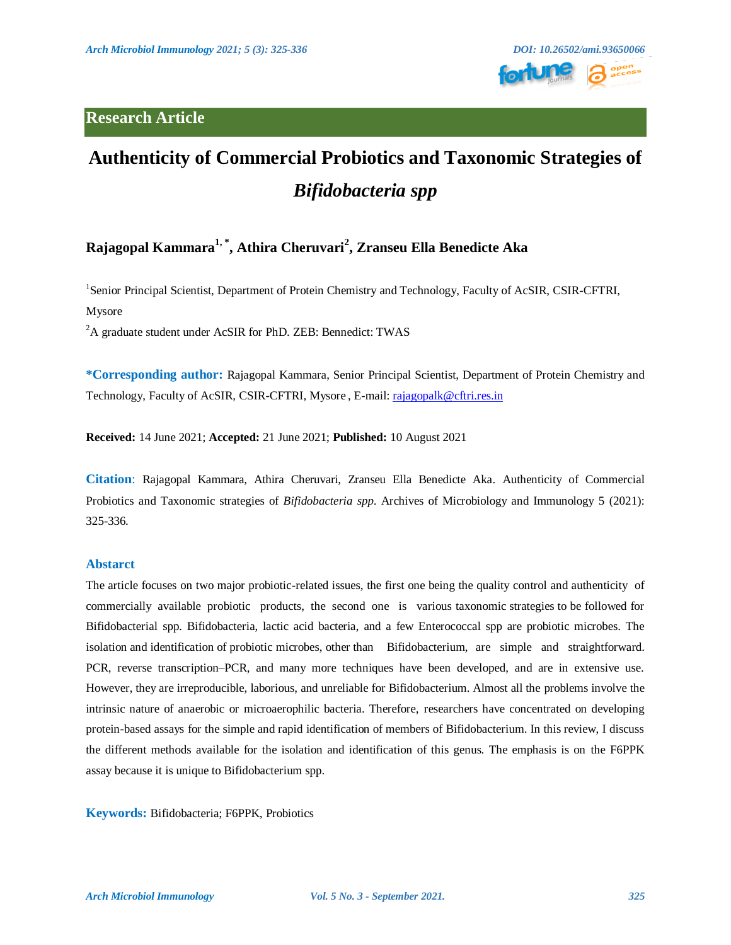

# **Authenticity of Commercial Probiotics and Taxonomic Strategies of**  *Bifidobacteria spp*

# **Rajagopal Kammara1, \* , Athira Cheruvari<sup>2</sup> , Zranseu Ella Benedicte Aka**

<sup>1</sup>Senior Principal Scientist, Department of Protein Chemistry and Technology, Faculty of AcSIR, CSIR-CFTRI, Mysore

<sup>2</sup>A graduate student under AcSIR for PhD. ZEB: Bennedict: TWAS

**\*Corresponding author:** Rajagopal Kammara, Senior Principal Scientist, Department of Protein Chemistry and Technology, Faculty of AcSIR, CSIR-CFTRI, Mysore , E-mail: [rajagopalk@cftri.res.in](mailto:rajagopalk@cftri.res.in)

**Received:** 14 June 2021; **Accepted:** 21 June 2021; **Published:** 10 August 2021

**Citation**: Rajagopal Kammara, Athira Cheruvari, Zranseu Ella Benedicte Aka. Authenticity of Commercial Probiotics and Taxonomic strategies of *Bifidobacteria spp*. Archives of Microbiology and Immunology 5 (2021): 325-336.

# **Abstarct**

The article focuses on two major probiotic-related issues, the first one being the quality control and authenticity of commercially available probiotic products, the second one is various taxonomic strategies to be followed for Bifidobacterial spp. Bifidobacteria, lactic acid bacteria, and a few Enterococcal spp are probiotic microbes. The isolation and identification of probiotic microbes, other than Bifidobacterium, are simple and straightforward. PCR, reverse transcription–PCR, and many more techniques have been developed, and are in extensive use. However, they are irreproducible, laborious, and unreliable for Bifidobacterium. Almost all the problems involve the intrinsic nature of anaerobic or microaerophilic bacteria. Therefore, researchers have concentrated on developing protein-based assays for the simple and rapid identification of members of Bifidobacterium. In this review, I discuss the different methods available for the isolation and identification of this genus. The emphasis is on the F6PPK assay because it is unique to Bifidobacterium spp.

**Keywords:** Bifidobacteria; F6PPK, Probiotics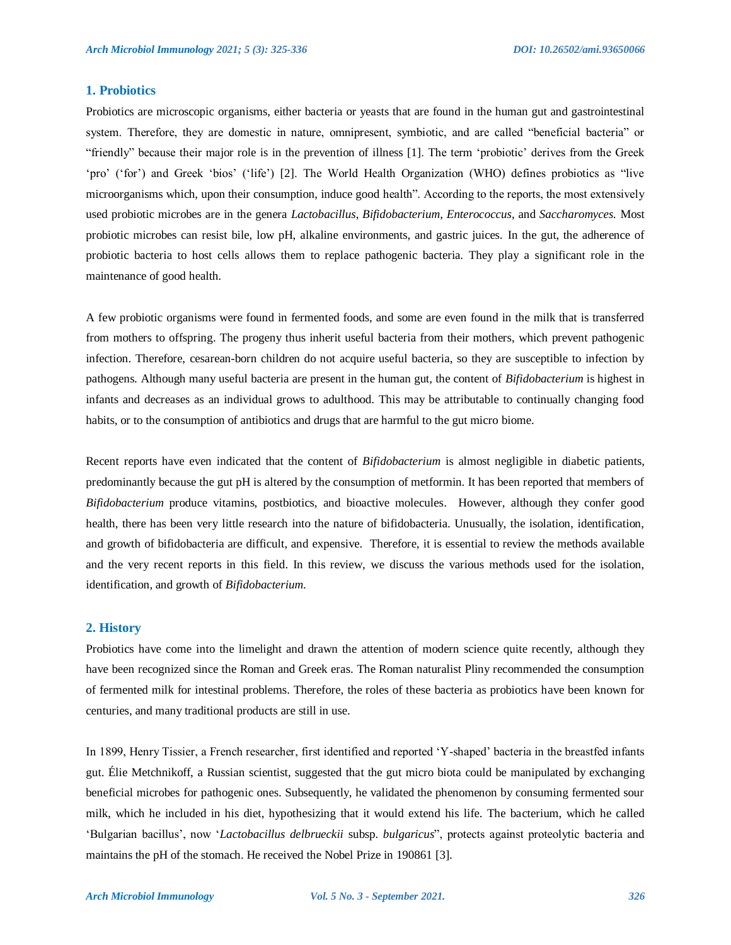# **1. Probiotics**

Probiotics are microscopic organisms, either bacteria or yeasts that are found in the human gut and gastrointestinal system. Therefore, they are domestic in nature, omnipresent, symbiotic, and are called "beneficial bacteria" or "friendly" because their major role is in the prevention of illness [1]. The term "probiotic" derives from the Greek "pro" ("for") and Greek "bios" ("life") [2]. The World Health Organization (WHO) defines probiotics as "live microorganisms which, upon their consumption, induce good health". According to the reports, the most extensively used probiotic microbes are in the genera *Lactobacillus*, *Bifidobacterium*, *Enterococcus*, and *Saccharomyces.* Most probiotic microbes can resist bile, low pH, alkaline environments, and gastric juices. In the gut, the adherence of probiotic bacteria to host cells allows them to replace pathogenic bacteria. They play a significant role in the maintenance of good health.

A few probiotic organisms were found in fermented foods, and some are even found in the milk that is transferred from mothers to offspring. The progeny thus inherit useful bacteria from their mothers, which prevent pathogenic infection. Therefore, cesarean-born children do not acquire useful bacteria, so they are susceptible to infection by pathogens. Although many useful bacteria are present in the human gut, the content of *Bifidobacterium* is highest in infants and decreases as an individual grows to adulthood. This may be attributable to continually changing food habits, or to the consumption of antibiotics and drugs that are harmful to the gut micro biome.

Recent reports have even indicated that the content of *Bifidobacterium* is almost negligible in diabetic patients, predominantly because the gut pH is altered by the consumption of metformin. It has been reported that members of *Bifidobacterium* produce vitamins, postbiotics, and bioactive molecules. However, although they confer good health, there has been very little research into the nature of bifidobacteria. Unusually, the isolation, identification, and growth of bifidobacteria are difficult, and expensive. Therefore, it is essential to review the methods available and the very recent reports in this field. In this review, we discuss the various methods used for the isolation, identification, and growth of *Bifidobacterium*.

#### **2. History**

Probiotics have come into the limelight and drawn the attention of modern science quite recently, although they have been recognized since the Roman and Greek eras. The Roman naturalist Pliny recommended the consumption of fermented milk for intestinal problems. Therefore, the roles of these bacteria as probiotics have been known for centuries, and many traditional products are still in use.

In 1899, Henry Tissier, a French researcher, first identified and reported "Y-shaped" bacteria in the breastfed infants gut. Élie Metchnikoff, a Russian scientist, suggested that the gut micro biota could be manipulated by exchanging beneficial microbes for pathogenic ones. Subsequently, he validated the phenomenon by consuming fermented sour milk, which he included in his diet, hypothesizing that it would extend his life. The bacterium, which he called "Bulgarian bacillus", now "*Lactobacillus delbrueckii* subsp. *bulgaricus*", protects against proteolytic bacteria and maintains the pH of the stomach. He received the Nobel Prize in 190861 [3].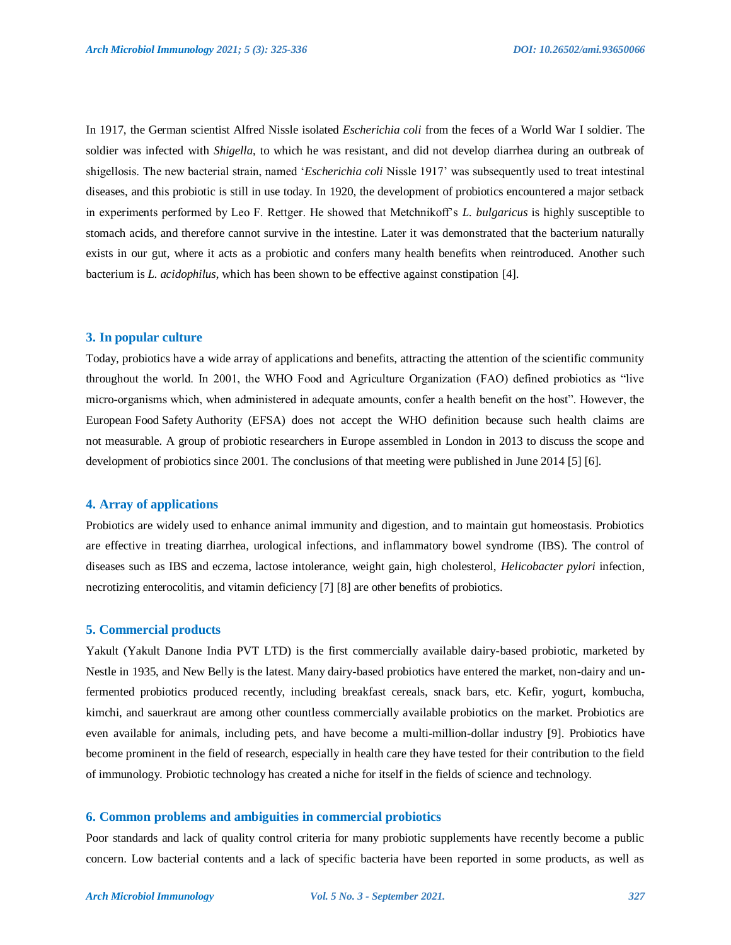In 1917, the German scientist Alfred Nissle isolated *Escherichia coli* from the feces of a World War I soldier. The soldier was infected with *Shigella*, to which he was resistant, and did not develop diarrhea during an outbreak of shigellosis. The new bacterial strain, named "*Escherichia coli* Nissle 1917" was subsequently used to treat intestinal diseases, and this probiotic is still in use today. In 1920, the development of probiotics encountered a major setback in experiments performed by Leo F. Rettger. He showed that Metchnikoff"s *L. bulgaricus* is highly susceptible to stomach acids, and therefore cannot survive in the intestine. Later it was demonstrated that the bacterium naturally exists in our gut, where it acts as a probiotic and confers many health benefits when reintroduced. Another such bacterium is *L. acidophilus*, which has been shown to be effective against constipation [4].

#### **3. In popular culture**

Today, probiotics have a wide array of applications and benefits, attracting the attention of the scientific community throughout the world. In 2001, the WHO Food and Agriculture Organization (FAO) defined probiotics as "live micro-organisms which, when administered in adequate amounts, confer a health benefit on the host". However, the European Food Safety Authority (EFSA) does not accept the WHO definition because such health claims are not measurable. A group of probiotic researchers in Europe assembled in London in 2013 to discuss the scope and development of probiotics since 2001. The conclusions of that meeting were published in June 2014 [5] [6].

# **4. Array of applications**

Probiotics are widely used to enhance animal immunity and digestion, and to maintain gut homeostasis. Probiotics are effective in treating diarrhea, urological infections, and inflammatory bowel syndrome (IBS). The control of diseases such as IBS and eczema, lactose intolerance, weight gain, high cholesterol, *Helicobacter pylori* infection, necrotizing enterocolitis, and vitamin deficiency [7] [8] are other benefits of probiotics.

#### **5. Commercial products**

Yakult (Yakult Danone India PVT LTD) is the first commercially available dairy-based probiotic, marketed by Nestle in 1935, and New Belly is the latest. Many dairy-based probiotics have entered the market, non-dairy and unfermented probiotics produced recently, including breakfast cereals, snack bars, etc. Kefir, yogurt, kombucha, kimchi, and sauerkraut are among other countless commercially available probiotics on the market. Probiotics are even available for animals, including pets, and have become a multi-million-dollar industry [9]. Probiotics have become prominent in the field of research, especially in health care they have tested for their contribution to the field of immunology. Probiotic technology has created a niche for itself in the fields of science and technology.

# **6. Common problems and ambiguities in commercial probiotics**

Poor standards and lack of quality control criteria for many probiotic supplements have recently become a public concern. Low bacterial contents and a lack of specific bacteria have been reported in some products, as well as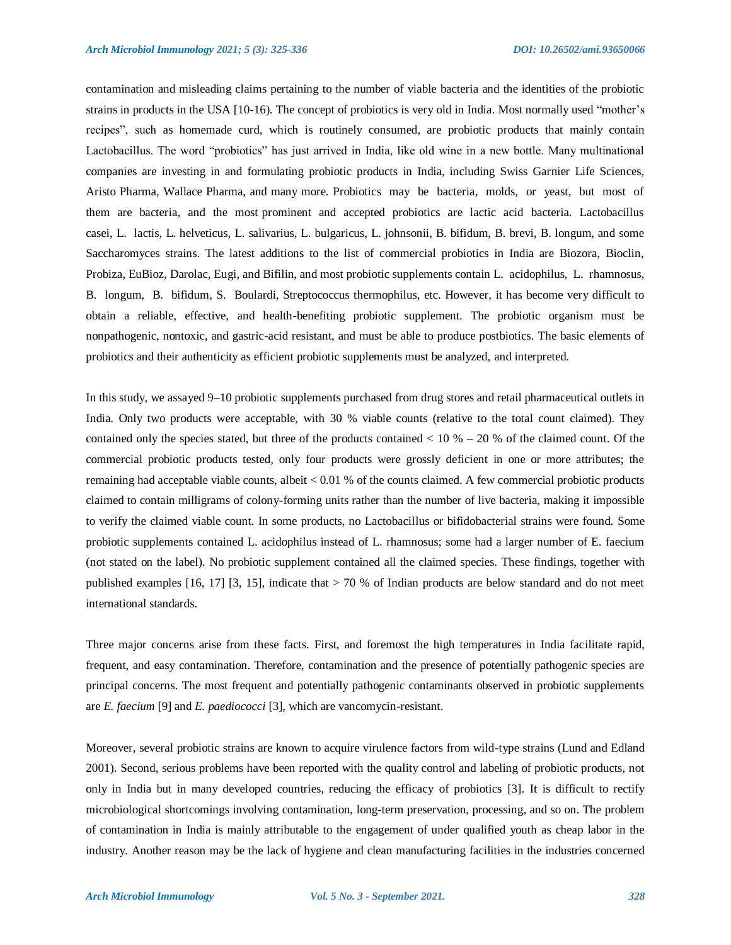contamination and misleading claims pertaining to the number of viable bacteria and the identities of the probiotic strains in products in the USA [10-16). The concept of probiotics is very old in India. Most normally used "mother"s recipes", such as homemade curd, which is routinely consumed, are probiotic products that mainly contain Lactobacillus. The word "probiotics" has just arrived in India, like old wine in a new bottle. Many multinational companies are investing in and formulating probiotic products in India, including Swiss Garnier Life Sciences, Aristo Pharma, Wallace Pharma, and many more. Probiotics may be bacteria, molds, or yeast, but most of them are bacteria, and the most prominent and accepted probiotics are lactic acid bacteria. Lactobacillus casei, L. lactis, L. helveticus, L. salivarius, L. bulgaricus, L. johnsonii, B. bifidum, B. brevi, B. longum, and some Saccharomyces strains. The latest additions to the list of commercial probiotics in India are Biozora, Bioclin, Probiza, EuBioz, Darolac, Eugi, and Bifilin, and most probiotic supplements contain L. acidophilus, L. rhamnosus, B. longum, B. bifidum, S. Boulardi, Streptococcus thermophilus, etc. However, it has become very difficult to obtain a reliable, effective, and health-benefiting probiotic supplement. The probiotic organism must be nonpathogenic, nontoxic, and gastric-acid resistant, and must be able to produce postbiotics. The basic elements of probiotics and their authenticity as efficient probiotic supplements must be analyzed, and interpreted.

In this study, we assayed 9–10 probiotic supplements purchased from drug stores and retail pharmaceutical outlets in India. Only two products were acceptable, with 30 % viable counts (relative to the total count claimed). They contained only the species stated, but three of the products contained  $< 10 % - 20 %$  of the claimed count. Of the commercial probiotic products tested, only four products were grossly deficient in one or more attributes; the remaining had acceptable viable counts, albeit < 0.01 % of the counts claimed. A few commercial probiotic products claimed to contain milligrams of colony-forming units rather than the number of live bacteria, making it impossible to verify the claimed viable count. In some products, no Lactobacillus or bifidobacterial strains were found. Some probiotic supplements contained L. acidophilus instead of L. rhamnosus; some had a larger number of E. faecium (not stated on the label). No probiotic supplement contained all the claimed species. These findings, together with published examples [16, 17] [3, 15], indicate that > 70 % of Indian products are below standard and do not meet international standards.

Three major concerns arise from these facts. First, and foremost the high temperatures in India facilitate rapid, frequent, and easy contamination. Therefore, contamination and the presence of potentially pathogenic species are principal concerns. The most frequent and potentially pathogenic contaminants observed in probiotic supplements are *E. faecium* [9] and *E. paediococci* [3], which are vancomycin-resistant.

Moreover, several probiotic strains are known to acquire virulence factors from wild-type strains (Lund and Edland 2001). Second, serious problems have been reported with the quality control and labeling of probiotic products, not only in India but in many developed countries, reducing the efficacy of probiotics [3]. It is difficult to rectify microbiological shortcomings involving contamination, long-term preservation, processing, and so on. The problem of contamination in India is mainly attributable to the engagement of under qualified youth as cheap labor in the industry. Another reason may be the lack of hygiene and clean manufacturing facilities in the industries concerned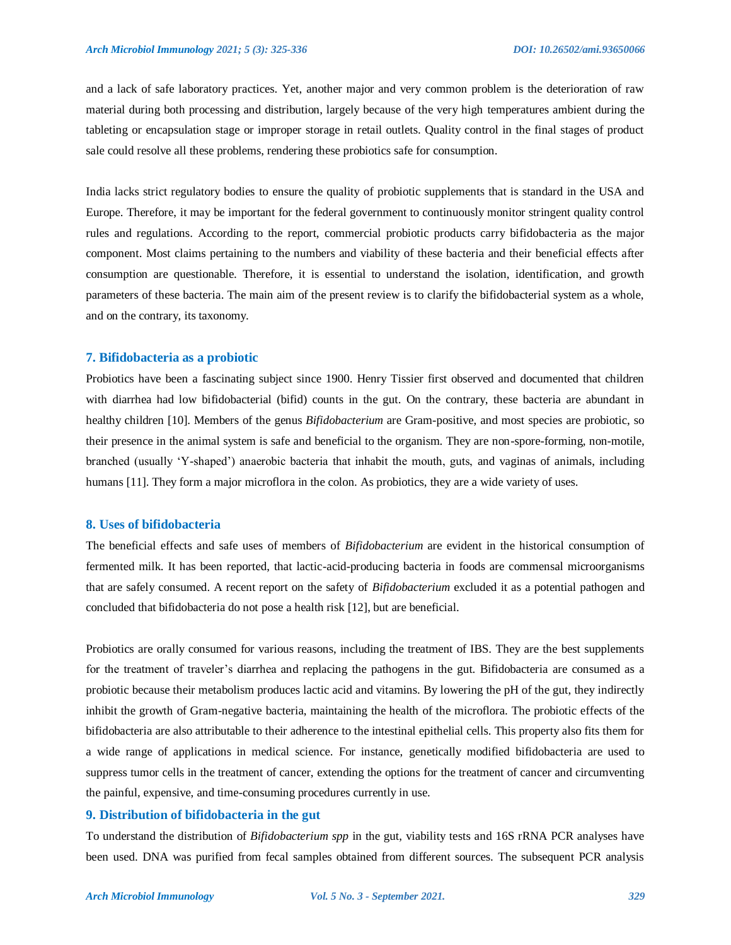and a lack of safe laboratory practices. Yet, another major and very common problem is the deterioration of raw material during both processing and distribution, largely because of the very high temperatures ambient during the tableting or encapsulation stage or improper storage in retail outlets. Quality control in the final stages of product sale could resolve all these problems, rendering these probiotics safe for consumption.

India lacks strict regulatory bodies to ensure the quality of probiotic supplements that is standard in the USA and Europe. Therefore, it may be important for the federal government to continuously monitor stringent quality control rules and regulations. According to the report, commercial probiotic products carry bifidobacteria as the major component. Most claims pertaining to the numbers and viability of these bacteria and their beneficial effects after consumption are questionable. Therefore, it is essential to understand the isolation, identification, and growth parameters of these bacteria. The main aim of the present review is to clarify the bifidobacterial system as a whole, and on the contrary, its taxonomy.

#### **7. Bifidobacteria as a probiotic**

Probiotics have been a fascinating subject since 1900. Henry Tissier first observed and documented that children with diarrhea had low bifidobacterial (bifid) counts in the gut. On the contrary, these bacteria are abundant in healthy children [10]. Members of the genus *Bifidobacterium* are Gram-positive, and most species are probiotic, so their presence in the animal system is safe and beneficial to the organism. They are non-spore-forming, non-motile, branched (usually "Y-shaped") anaerobic bacteria that inhabit the mouth, guts, and vaginas of animals, including humans [11]. They form a major microflora in the colon. As probiotics, they are a wide variety of uses.

# **8. Uses of bifidobacteria**

The beneficial effects and safe uses of members of *Bifidobacterium* are evident in the historical consumption of fermented milk. It has been reported, that lactic-acid-producing bacteria in foods are commensal microorganisms that are safely consumed. A recent report on the safety of *Bifidobacterium* excluded it as a potential pathogen and concluded that bifidobacteria do not pose a health risk [12], but are beneficial.

Probiotics are orally consumed for various reasons, including the treatment of IBS. They are the best supplements for the treatment of traveler"s diarrhea and replacing the pathogens in the gut. Bifidobacteria are consumed as a probiotic because their metabolism produces lactic acid and vitamins. By lowering the pH of the gut, they indirectly inhibit the growth of Gram-negative bacteria, maintaining the health of the microflora. The probiotic effects of the bifidobacteria are also attributable to their adherence to the intestinal epithelial cells. This property also fits them for a wide range of applications in medical science. For instance, genetically modified bifidobacteria are used to suppress tumor cells in the treatment of cancer, extending the options for the treatment of cancer and circumventing the painful, expensive, and time-consuming procedures currently in use.

# **9. Distribution of bifidobacteria in the gut**

To understand the distribution of *Bifidobacterium spp* in the gut, viability tests and 16S rRNA PCR analyses have been used. DNA was purified from fecal samples obtained from different sources. The subsequent PCR analysis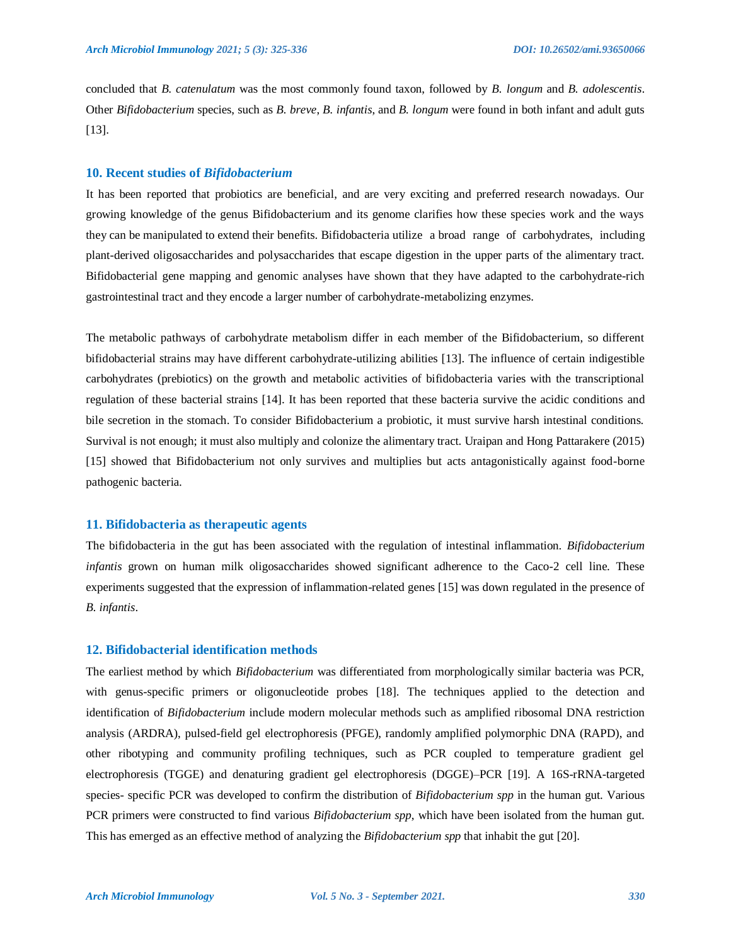concluded that *B. catenulatum* was the most commonly found taxon, followed by *B. longum* and *B. adolescentis*. Other *Bifidobacterium* species, such as *B. breve*, *B. infantis*, and *B. longum* were found in both infant and adult guts [13].

#### **10. Recent studies of** *Bifidobacterium*

It has been reported that probiotics are beneficial, and are very exciting and preferred research nowadays. Our growing knowledge of the genus Bifidobacterium and its genome clarifies how these species work and the ways they can be manipulated to extend their benefits. Bifidobacteria utilize a broad range of carbohydrates, including plant-derived oligosaccharides and polysaccharides that escape digestion in the upper parts of the alimentary tract. Bifidobacterial gene mapping and genomic analyses have shown that they have adapted to the carbohydrate-rich gastrointestinal tract and they encode a larger number of carbohydrate-metabolizing enzymes.

The metabolic pathways of carbohydrate metabolism differ in each member of the Bifidobacterium, so different bifidobacterial strains may have different carbohydrate-utilizing abilities [13]. The influence of certain indigestible carbohydrates (prebiotics) on the growth and metabolic activities of bifidobacteria varies with the transcriptional regulation of these bacterial strains [14]. It has been reported that these bacteria survive the acidic conditions and bile secretion in the stomach. To consider Bifidobacterium a probiotic, it must survive harsh intestinal conditions. Survival is not enough; it must also multiply and colonize the alimentary tract. Uraipan and Hong Pattarakere (2015) [15] showed that Bifidobacterium not only survives and multiplies but acts antagonistically against food-borne pathogenic bacteria.

# **11. Bifidobacteria as therapeutic agents**

The bifidobacteria in the gut has been associated with the regulation of intestinal inflammation. *Bifidobacterium infantis* grown on human milk oligosaccharides showed significant adherence to the Caco-2 cell line. These experiments suggested that the expression of inflammation-related genes [15] was down regulated in the presence of *B. infantis*.

# **12. Bifidobacterial identification methods**

The earliest method by which *Bifidobacterium* was differentiated from morphologically similar bacteria was PCR, with genus-specific primers or oligonucleotide probes [18]. The techniques applied to the detection and identification of *Bifidobacterium* include modern molecular methods such as amplified ribosomal DNA restriction analysis (ARDRA), pulsed-field gel electrophoresis (PFGE), randomly amplified polymorphic DNA (RAPD), and other ribotyping and community profiling techniques, such as PCR coupled to temperature gradient gel electrophoresis (TGGE) and denaturing gradient gel electrophoresis (DGGE)–PCR [19]. A 16S-rRNA-targeted species- specific PCR was developed to confirm the distribution of *Bifidobacterium spp* in the human gut. Various PCR primers were constructed to find various *Bifidobacterium spp*, which have been isolated from the human gut. This has emerged as an effective method of analyzing the *Bifidobacterium spp* that inhabit the gut [20].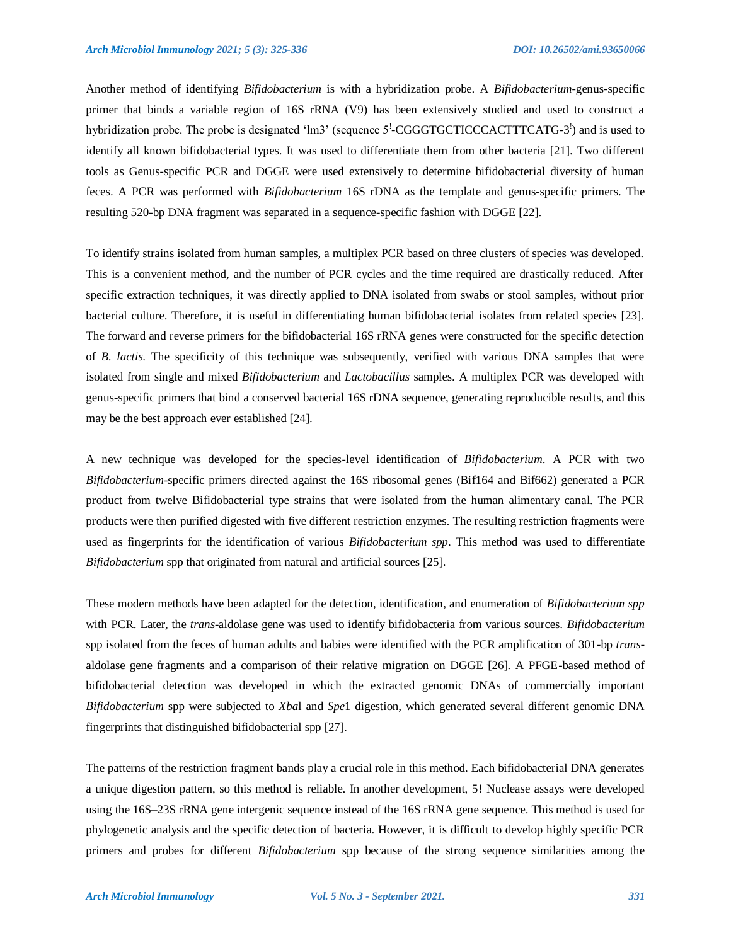Another method of identifying *Bifidobacterium* is with a hybridization probe. A *Bifidobacterium-*genus-specific primer that binds a variable region of 16S rRNA (V9) has been extensively studied and used to construct a hybridization probe. The probe is designated 'lm3' (sequence  $5^!$ -CGGGTGCTICCCACTTTCATG-3<sup>'</sup>) and is used to identify all known bifidobacterial types. It was used to differentiate them from other bacteria [21]. Two different tools as Genus-specific PCR and DGGE were used extensively to determine bifidobacterial diversity of human feces. A PCR was performed with *Bifidobacterium* 16S rDNA as the template and genus-specific primers. The resulting 520-bp DNA fragment was separated in a sequence-specific fashion with DGGE [22].

To identify strains isolated from human samples, a multiplex PCR based on three clusters of species was developed. This is a convenient method, and the number of PCR cycles and the time required are drastically reduced. After specific extraction techniques, it was directly applied to DNA isolated from swabs or stool samples, without prior bacterial culture. Therefore, it is useful in differentiating human bifidobacterial isolates from related species [23]. The forward and reverse primers for the bifidobacterial 16S rRNA genes were constructed for the specific detection of *B. lactis*. The specificity of this technique was subsequently, verified with various DNA samples that were isolated from single and mixed *Bifidobacterium* and *Lactobacillus* samples. A multiplex PCR was developed with genus-specific primers that bind a conserved bacterial 16S rDNA sequence, generating reproducible results, and this may be the best approach ever established [24].

A new technique was developed for the species-level identification of *Bifidobacterium*. A PCR with two *Bifidobacterium*-specific primers directed against the 16S ribosomal genes (Bif164 and Bif662) generated a PCR product from twelve Bifidobacterial type strains that were isolated from the human alimentary canal. The PCR products were then purified digested with five different restriction enzymes. The resulting restriction fragments were used as fingerprints for the identification of various *Bifidobacterium spp*. This method was used to differentiate *Bifidobacterium* spp that originated from natural and artificial sources [25].

These modern methods have been adapted for the detection, identification, and enumeration of *Bifidobacterium spp*  with PCR. Later, the *trans*-aldolase gene was used to identify bifidobacteria from various sources. *Bifidobacterium*  spp isolated from the feces of human adults and babies were identified with the PCR amplification of 301-bp *trans*aldolase gene fragments and a comparison of their relative migration on DGGE [26]. A PFGE-based method of bifidobacterial detection was developed in which the extracted genomic DNAs of commercially important *Bifidobacterium* spp were subjected to *Xba*l and *Spe*1 digestion, which generated several different genomic DNA fingerprints that distinguished bifidobacterial spp [27].

The patterns of the restriction fragment bands play a crucial role in this method. Each bifidobacterial DNA generates a unique digestion pattern, so this method is reliable. In another development, 5! Nuclease assays were developed using the 16S–23S rRNA gene intergenic sequence instead of the 16S rRNA gene sequence. This method is used for phylogenetic analysis and the specific detection of bacteria. However, it is difficult to develop highly specific PCR primers and probes for different *Bifidobacterium* spp because of the strong sequence similarities among the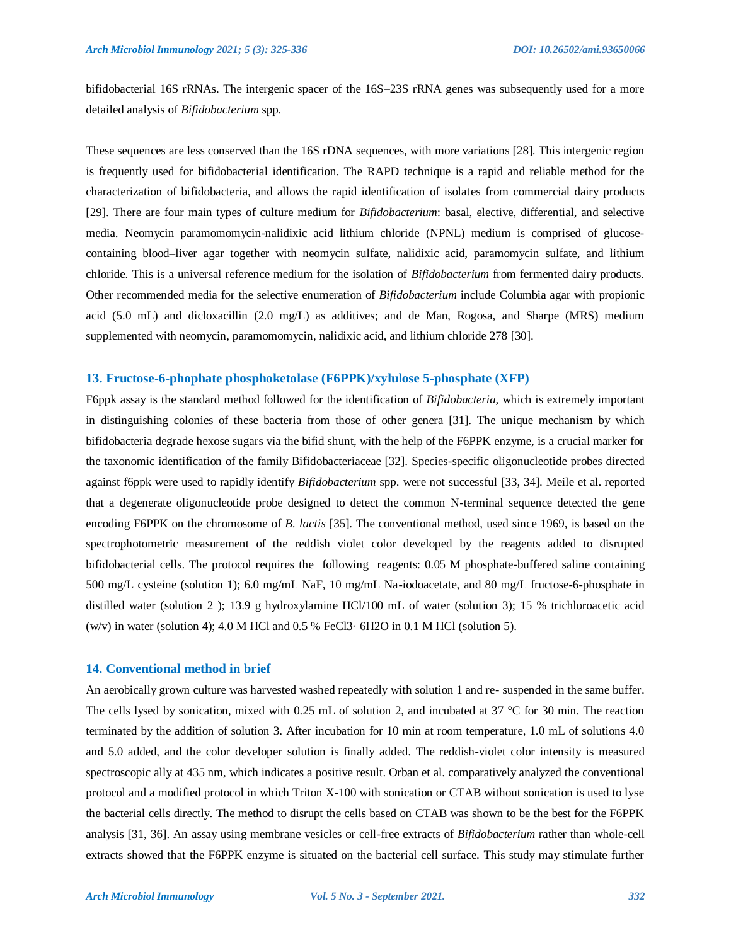bifidobacterial 16S rRNAs. The intergenic spacer of the 16S–23S rRNA genes was subsequently used for a more detailed analysis of *Bifidobacterium* spp.

These sequences are less conserved than the 16S rDNA sequences, with more variations [28]. This intergenic region is frequently used for bifidobacterial identification. The RAPD technique is a rapid and reliable method for the characterization of bifidobacteria, and allows the rapid identification of isolates from commercial dairy products [29]. There are four main types of culture medium for *Bifidobacterium*: basal, elective, differential, and selective media. Neomycin–paramomomycin-nalidixic acid–lithium chloride (NPNL) medium is comprised of glucosecontaining blood–liver agar together with neomycin sulfate, nalidixic acid, paramomycin sulfate, and lithium chloride. This is a universal reference medium for the isolation of *Bifidobacterium* from fermented dairy products. Other recommended media for the selective enumeration of *Bifidobacterium* include Columbia agar with propionic acid (5.0 mL) and dicloxacillin (2.0 mg/L) as additives; and de Man, Rogosa, and Sharpe (MRS) medium supplemented with neomycin, paramomomycin, nalidixic acid, and lithium chloride 278 [30].

#### **13. Fructose-6-phophate phosphoketolase (F6PPK)/xylulose 5-phosphate (XFP)**

F6ppk assay is the standard method followed for the identification of *Bifidobacteria*, which is extremely important in distinguishing colonies of these bacteria from those of other genera [31]. The unique mechanism by which bifidobacteria degrade hexose sugars via the bifid shunt, with the help of the F6PPK enzyme, is a crucial marker for the taxonomic identification of the family Bifidobacteriaceae [32]. Species-specific oligonucleotide probes directed against f6ppk were used to rapidly identify *Bifidobacterium* spp. were not successful [33, 34]. Meile et al. reported that a degenerate oligonucleotide probe designed to detect the common N-terminal sequence detected the gene encoding F6PPK on the chromosome of *B. lactis* [35]. The conventional method, used since 1969, is based on the spectrophotometric measurement of the reddish violet color developed by the reagents added to disrupted bifidobacterial cells. The protocol requires the following reagents: 0.05 M phosphate-buffered saline containing 500 mg/L cysteine (solution 1); 6.0 mg/mL NaF, 10 mg/mL Na-iodoacetate, and 80 mg/L fructose-6-phosphate in distilled water (solution 2 ); 13.9 g hydroxylamine HCl/100 mL of water (solution 3); 15 % trichloroacetic acid (w/v) in water (solution 4); 4.0 M HCl and 0.5 % FeCl3 $\cdot$  6H2O in 0.1 M HCl (solution 5).

# **14. Conventional method in brief**

An aerobically grown culture was harvested washed repeatedly with solution 1 and re- suspended in the same buffer. The cells lysed by sonication, mixed with 0.25 mL of solution 2, and incubated at 37 °C for 30 min. The reaction terminated by the addition of solution 3. After incubation for 10 min at room temperature, 1.0 mL of solutions 4.0 and 5.0 added, and the color developer solution is finally added. The reddish-violet color intensity is measured spectroscopic ally at 435 nm, which indicates a positive result. Orban et al. comparatively analyzed the conventional protocol and a modified protocol in which Triton X-100 with sonication or CTAB without sonication is used to lyse the bacterial cells directly. The method to disrupt the cells based on CTAB was shown to be the best for the F6PPK analysis [31, 36]. An assay using membrane vesicles or cell-free extracts of *Bifidobacterium* rather than whole-cell extracts showed that the F6PPK enzyme is situated on the bacterial cell surface. This study may stimulate further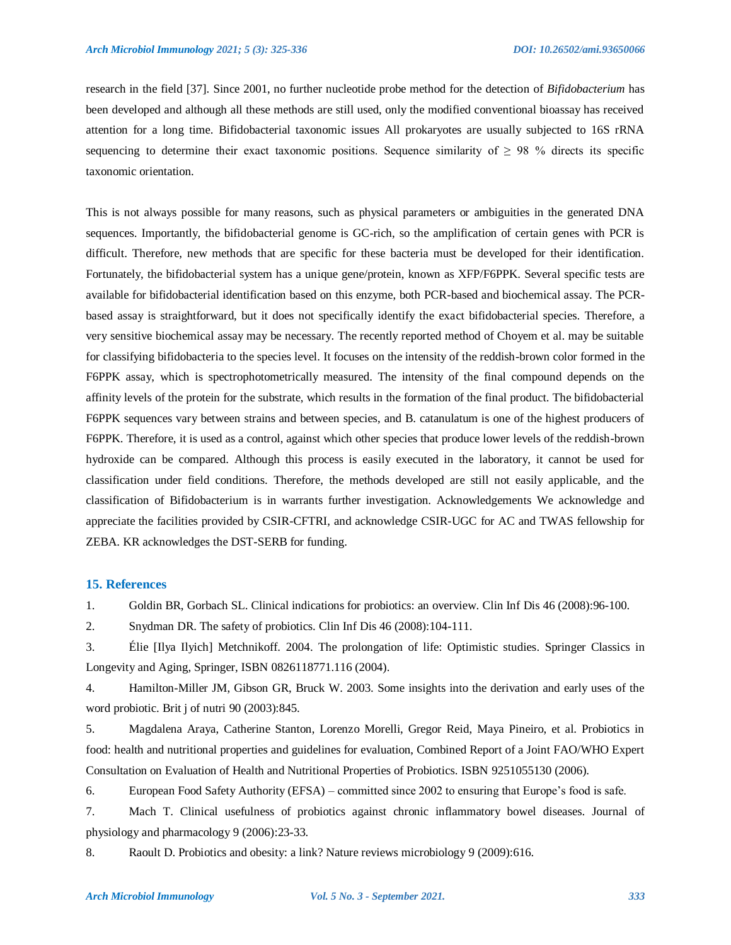research in the field [37]. Since 2001, no further nucleotide probe method for the detection of *Bifidobacterium* has been developed and although all these methods are still used, only the modified conventional bioassay has received attention for a long time. Bifidobacterial taxonomic issues All prokaryotes are usually subjected to 16S rRNA sequencing to determine their exact taxonomic positions. Sequence similarity of  $\geq$  98 % directs its specific taxonomic orientation.

This is not always possible for many reasons, such as physical parameters or ambiguities in the generated DNA sequences. Importantly, the bifidobacterial genome is GC-rich, so the amplification of certain genes with PCR is difficult. Therefore, new methods that are specific for these bacteria must be developed for their identification. Fortunately, the bifidobacterial system has a unique gene/protein, known as XFP/F6PPK. Several specific tests are available for bifidobacterial identification based on this enzyme, both PCR-based and biochemical assay. The PCRbased assay is straightforward, but it does not specifically identify the exact bifidobacterial species. Therefore, a very sensitive biochemical assay may be necessary. The recently reported method of Choyem et al. may be suitable for classifying bifidobacteria to the species level. It focuses on the intensity of the reddish-brown color formed in the F6PPK assay, which is spectrophotometrically measured. The intensity of the final compound depends on the affinity levels of the protein for the substrate, which results in the formation of the final product. The bifidobacterial F6PPK sequences vary between strains and between species, and B. catanulatum is one of the highest producers of F6PPK. Therefore, it is used as a control, against which other species that produce lower levels of the reddish-brown hydroxide can be compared. Although this process is easily executed in the laboratory, it cannot be used for classification under field conditions. Therefore, the methods developed are still not easily applicable, and the classification of Bifidobacterium is in warrants further investigation. Acknowledgements We acknowledge and appreciate the facilities provided by CSIR-CFTRI, and acknowledge CSIR-UGC for AC and TWAS fellowship for ZEBA. KR acknowledges the DST-SERB for funding.

# **15. References**

1. Goldin BR, Gorbach SL. Clinical indications for probiotics: an overview. Clin Inf Dis 46 (2008):96-100.

2. Snydman DR. The safety of probiotics. Clin Inf Dis 46 (2008):104-111.

3. Élie [Ilya Ilyich] Metchnikoff. 2004. The prolongation of life: Optimistic studies. Springer Classics in Longevity and Aging, Springer, ISBN 0826118771.116 (2004).

4. Hamilton-Miller JM, Gibson GR, Bruck W. 2003. Some insights into the derivation and early uses of the word probiotic. Brit j of nutri 90 (2003):845.

5. Magdalena Araya, Catherine Stanton, Lorenzo Morelli, Gregor Reid, Maya Pineiro, et al. Probiotics in food: health and nutritional properties and guidelines for evaluation, Combined Report of a Joint FAO/WHO Expert Consultation on Evaluation of Health and Nutritional Properties of Probiotics. ISBN 9251055130 (2006).

6. European Food Safety Authority (EFSA) – committed since 2002 to ensuring that Europe"s food is safe.

7. Mach T. Clinical usefulness of probiotics against chronic inflammatory bowel diseases. Journal of physiology and pharmacology 9 (2006):23-33.

8. Raoult D. Probiotics and obesity: a link? Nature reviews microbiology 9 (2009):616.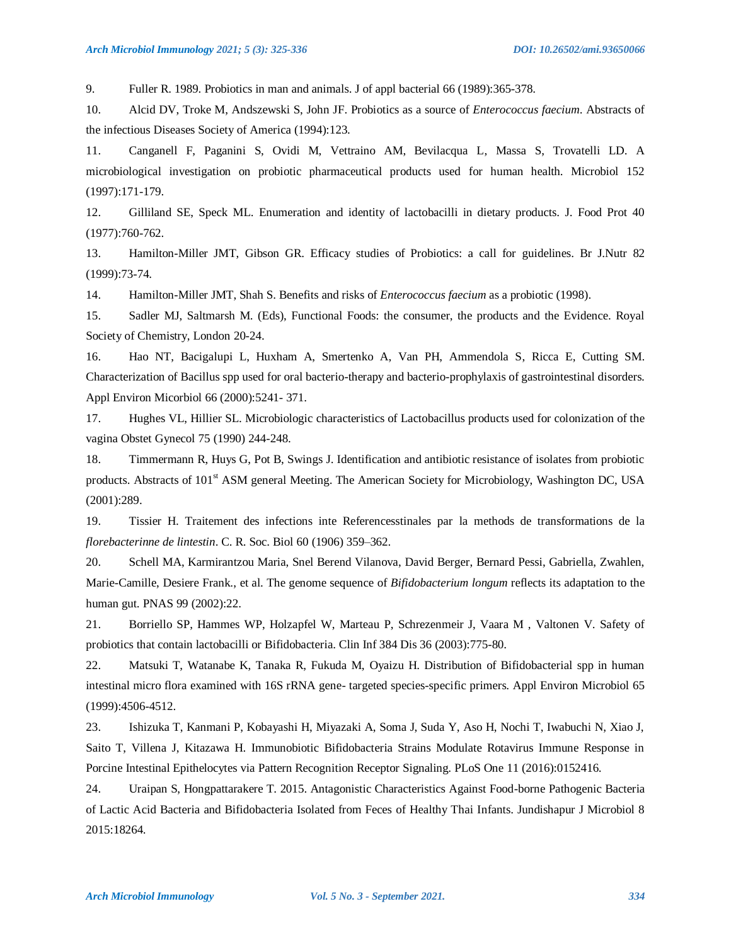9. Fuller R. 1989. Probiotics in man and animals. J of appl bacterial 66 (1989):365-378.

10. Alcid DV, Troke M, Andszewski S, John JF. Probiotics as a source of *Enterococcus faecium*. Abstracts of the infectious Diseases Society of America (1994):123.

11. Canganell F, Paganini S, Ovidi M, Vettraino AM, Bevilacqua L, Massa S, Trovatelli LD. A microbiological investigation on probiotic pharmaceutical products used for human health. Microbiol 152 (1997):171-179.

12. Gilliland SE, Speck ML. Enumeration and identity of lactobacilli in dietary products. J. Food Prot 40 (1977):760-762.

13. Hamilton-Miller JMT, Gibson GR. Efficacy studies of Probiotics: a call for guidelines. Br J.Nutr 82 (1999):73-74.

14. Hamilton-Miller JMT, Shah S. Benefits and risks of *Enterococcus faecium* as a probiotic (1998).

15. Sadler MJ, Saltmarsh M. (Eds), Functional Foods: the consumer, the products and the Evidence. Royal Society of Chemistry, London 20-24.

16. Hao NT, Bacigalupi L, Huxham A, Smertenko A, Van PH, Ammendola S, Ricca E, Cutting SM. Characterization of Bacillus spp used for oral bacterio-therapy and bacterio-prophylaxis of gastrointestinal disorders. Appl Environ Micorbiol 66 (2000):5241- 371.

17. Hughes VL, Hillier SL. Microbiologic characteristics of Lactobacillus products used for colonization of the vagina Obstet Gynecol 75 (1990) 244-248.

18. Timmermann R, Huys G, Pot B, Swings J. Identification and antibiotic resistance of isolates from probiotic products. Abstracts of 101<sup>st</sup> ASM general Meeting. The American Society for Microbiology, Washington DC, USA (2001):289.

19. Tissier H. Traitement des infections inte Referencesstinales par la methods de transformations de la *florebacterinne de lintestin*. C. R. Soc. Biol 60 (1906) 359–362.

20. Schell MA, Karmirantzou Maria, Snel Berend Vilanova, David Berger, Bernard Pessi, Gabriella, Zwahlen, Marie-Camille, Desiere Frank., et al. The genome sequence of *Bifidobacterium longum* reflects its adaptation to the human gut. PNAS 99 (2002):22.

21. Borriello SP, Hammes WP, Holzapfel W, Marteau P, Schrezenmeir J, Vaara M , Valtonen V. Safety of probiotics that contain lactobacilli or Bifidobacteria. Clin Inf 384 Dis 36 (2003):775-80.

22. Matsuki T, Watanabe K, Tanaka R, Fukuda M, Oyaizu H. Distribution of Bifidobacterial spp in human intestinal micro flora examined with 16S rRNA gene- targeted species-specific primers. Appl Environ Microbiol 65 (1999):4506-4512.

23. Ishizuka T, Kanmani P, Kobayashi H, Miyazaki A, Soma J, Suda Y, Aso H, Nochi T, Iwabuchi N, Xiao J, Saito T, Villena J, Kitazawa H. Immunobiotic Bifidobacteria Strains Modulate Rotavirus Immune Response in Porcine Intestinal Epithelocytes via Pattern Recognition Receptor Signaling. PLoS One 11 (2016):0152416.

24. Uraipan S, Hongpattarakere T. 2015. Antagonistic Characteristics Against Food-borne Pathogenic Bacteria of Lactic Acid Bacteria and Bifidobacteria Isolated from Feces of Healthy Thai Infants. Jundishapur J Microbiol 8 2015:18264.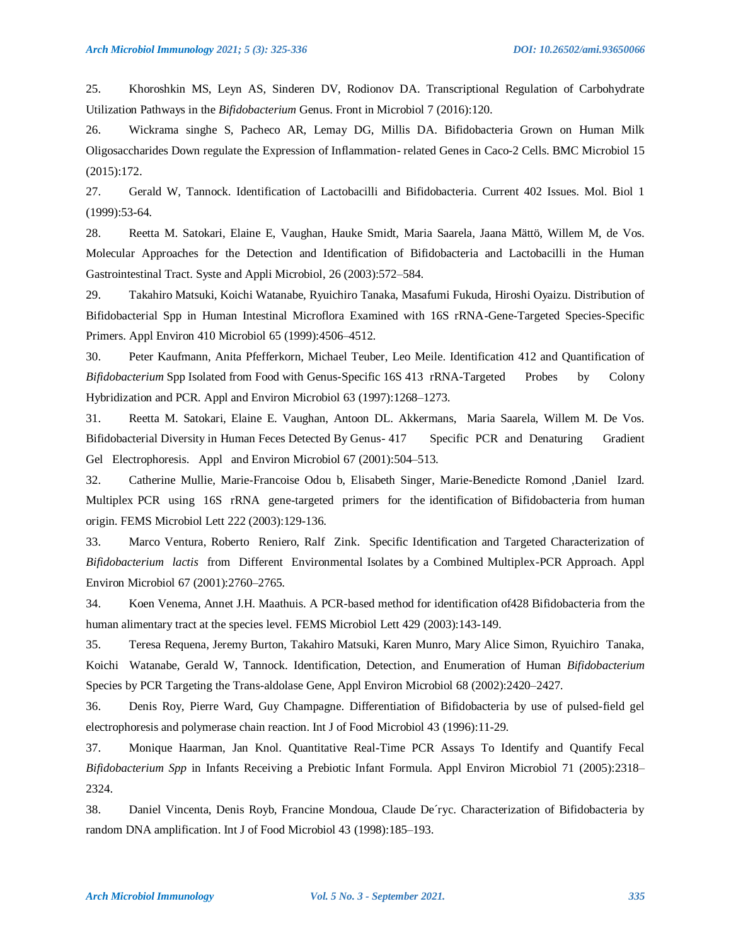25. Khoroshkin MS, Leyn AS, Sinderen DV, Rodionov DA. Transcriptional Regulation of Carbohydrate Utilization Pathways in the *Bifidobacterium* Genus. Front in Microbiol 7 (2016):120.

26. Wickrama singhe S, Pacheco AR, Lemay DG, Millis DA. Bifidobacteria Grown on Human Milk Oligosaccharides Down regulate the Expression of Inflammation- related Genes in Caco-2 Cells. BMC Microbiol 15 (2015):172.

27. Gerald W, Tannock. Identification of Lactobacilli and Bifidobacteria. Current 402 Issues. Mol. Biol 1 (1999):53-64.

28. Reetta M. Satokari, Elaine E, Vaughan, [Hauke Smidt,](http://www.sciencedirect.com/science/article/pii/S0723202004702246) [Maria Saarela, Jaana](http://www.sciencedirect.com/science/article/pii/S0723202004702246) [Mättö,](http://www.sciencedirect.com/science/article/pii/S0723202004702246) Willem M, de Vos. Molecular Approaches for the Detection and Identification of Bifidobacteria and Lactobacilli in the Human Gastrointestinal Tract. Syste and Appli Microbiol, 26 (2003):572–584.

29. Takahiro Matsuki, Koichi Watanabe, Ryuichiro Tanaka, Masafumi Fukuda, Hiroshi Oyaizu. Distribution of Bifidobacterial Spp in Human Intestinal Microflora Examined with 16S rRNA-Gene-Targeted Species-Specific Primers. Appl Environ 410 Microbiol 65 (1999):4506–4512.

30. Peter Kaufmann, Anita Pfefferkorn, Michael Teuber, Leo Meile. Identification 412 and Quantification of *Bifidobacterium* Spp Isolated from Food with Genus-Specific 16S 413 rRNA-Targeted Probes by Colony Hybridization and PCR. Appl and Environ Microbiol 63 (1997):1268–1273.

31. Reetta M. Satokari, Elaine E. Vaughan, Antoon DL. Akkermans, Maria Saarela, Willem M. De Vos. Bifidobacterial Diversity in Human Feces Detected By Genus- 417 Specific PCR and Denaturing Gradient Gel Electrophoresis. Appl and Environ Microbiol 67 (2001):504–513.

32. Catherine Mullie, Marie-Francoise Odou b, Elisabeth Singer, Marie-Benedicte Romond ,Daniel Izard. Multiplex PCR using 16S rRNA gene-targeted primers for the identification of Bifidobacteria from human origin. FEMS Microbiol Lett 222 (2003):129-136.

33. Marco Ventura, Roberto Reniero, Ralf Zink. Specific Identification and Targeted Characterization of *Bifidobacterium lactis* from Different Environmental Isolates by a Combined Multiplex-PCR Approach. Appl Environ Microbiol 67 (2001):2760–2765.

34. Koen Venema, Annet J.H. Maathuis. A PCR-based method for identification of428 Bifidobacteria from the human alimentary tract at the species level. FEMS Microbiol Lett 429 (2003):143-149.

35. Teresa Requena, Jeremy Burton, Takahiro Matsuki, Karen Munro, Mary Alice Simon, Ryuichiro Tanaka, Koichi Watanabe, Gerald W, Tannock. Identification, Detection, and Enumeration of Human *Bifidobacterium*  Species by PCR Targeting the Trans-aldolase Gene, Appl Environ Microbiol 68 (2002):2420–2427.

36. Denis Roy, Pierre Ward, Guy Champagne. Differentiation of Bifidobacteria by use of pulsed-field gel electrophoresis and polymerase chain reaction. Int J of Food Microbiol 43 (1996):11-29.

37. Monique Haarman, Jan Knol. Quantitative Real-Time PCR Assays To Identify and Quantify Fecal *Bifidobacterium Spp* in Infants Receiving a Prebiotic Infant Formula. Appl Environ Microbiol 71 (2005):2318– 2324.

38. Daniel Vincenta, Denis Royb, Francine Mondoua, Claude De´ryc. Characterization of Bifidobacteria by random DNA amplification. Int J of Food Microbiol 43 (1998):185–193.